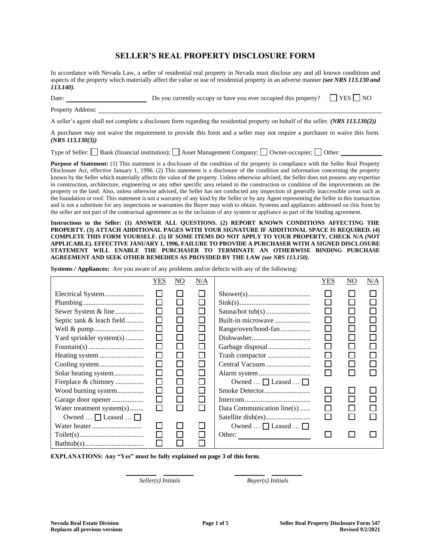# **SELLER'S REAL PROPERTY DISCLOSURE FORM**

In accordance with Nevada Law, a seller of residential real property in Nevada must disclose any and all known conditions and aspects of the property which materially affect the value or use of residential property in an adverse manner *(see NRS 113.130 and 113.140)*.

| Date:                                                                                                                                       | Do you currently occupy or have you ever occupied this property? | $\Box$ YES $\Box$ NO |  |  |  |  |
|---------------------------------------------------------------------------------------------------------------------------------------------|------------------------------------------------------------------|----------------------|--|--|--|--|
| <b>Property Address:</b>                                                                                                                    |                                                                  |                      |  |  |  |  |
| A seller's agent shall not complete a disclosure form regarding the residential property on behalf of the seller. ( <i>NRS 113.130(2)</i> ) |                                                                  |                      |  |  |  |  |

A purchaser may not waive the requirement to provide this form and a seller may not require a purchaser to waive this form. *(NRS 113.130(3))*

Type of Seller:  $\Box$  Bank (financial institution);  $\Box$  Asset Management Company;  $\Box$  Owner-occupier;  $\Box$  Other:

**Purpose of Statement:** (1) This statement is a disclosure of the condition of the property in compliance with the Seller Real Property Disclosure Act, effective January 1, 1996. (2) This statement is a disclosure of the condition and information concerning the property known by the Seller which materially affects the value of the property. Unless otherwise advised, the Seller does not possess any expertise in construction, architecture, engineering or any other specific area related to the construction or condition of the improvements on the property or the land. Also, unless otherwise advised, the Seller has not conducted any inspection of generally inaccessible areas such as the foundation or roof. This statement is not a warranty of any kind by the Seller or by any Agent representing the Seller in this transaction and is not a substitute for any inspections or warranties the Buyer may wish to obtain. Systems and appliances addressed on this form by the seller are not part of the contractual agreement as to the inclusion of any system or appliance as part of the binding agreement.

**Instructions to the Seller: (1) ANSWER ALL QUESTIONS. (2) REPORT KNOWN CONDITIONS AFFECTING THE PROPERTY. (3) ATTACH ADDITIONAL PAGES WITH YOUR SIGNATURE IF ADDITIONAL SPACE IS REQUIRED. (4) COMPLETE THIS FORM YOURSELF. (5) IF SOME ITEMS DO NOT APPLY TO YOUR PROPERTY, CHECK N/A (NOT APPLICABLE). EFFECTIVE JANUARY 1, 1996, FAILURE TO PROVIDE A PURCHASER WITH A SIGNED DISCLOSURE STATEMENT WILL ENABLE THE PURCHASER TO TERMINATE AN OTHERWISE BINDING PURCHASE AGREEMENT AND SEEK OTHER REMEDIES AS PROVIDED BY THE LAW** *(see NRS 113.150)***.** 

**Systems / Appliances:** Are you aware of any problems and/or defects with any of the following:

|                                              | YES          | $\overline{NO}$ | N/A    |                                                | YES | $\overline{NO}$ | N/A |
|----------------------------------------------|--------------|-----------------|--------|------------------------------------------------|-----|-----------------|-----|
|                                              |              |                 |        |                                                |     |                 |     |
|                                              |              |                 |        |                                                |     |                 |     |
| Sewer System & line                          | $\mathsf{I}$ |                 |        |                                                |     |                 |     |
| Septic tank & leach field                    | $\mathsf{I}$ |                 |        | Built-in microwave                             |     |                 |     |
|                                              | П            |                 |        | Range/oven/hood-fan                            |     |                 |     |
| Yard sprinkler system(s)                     |              |                 |        |                                                |     |                 |     |
|                                              | Г            |                 |        |                                                |     |                 |     |
|                                              |              |                 |        | Trash compactor                                |     |                 |     |
|                                              |              | $\perp$         |        | Central Vacuum                                 |     |                 |     |
| Solar heating system                         |              |                 |        |                                                |     |                 |     |
| Fireplace & chimney                          |              |                 |        | Owned $\dots$ $\Box$ Leased $\dots \Box$       |     |                 |     |
| Wood burning system                          | $\Box$       |                 |        |                                                |     |                 |     |
| Garage door opener                           | $\mathsf{I}$ |                 |        |                                                |     |                 |     |
| Water treatment system(s)                    | П            | ΙI              | $\Box$ | Data Communication line(s)                     |     |                 |     |
| Owned $\ldots$ $\Box$ Leased $\ldots$ $\Box$ |              |                 |        |                                                |     |                 |     |
|                                              |              |                 |        | Owned $\ldots \square$ Leased $\ldots \square$ |     |                 |     |
|                                              |              |                 |        | Other:                                         |     |                 |     |
|                                              |              |                 |        |                                                |     |                 |     |

**EXPLANATIONS: Any "Yes" must be fully explained on page 3 of this form.**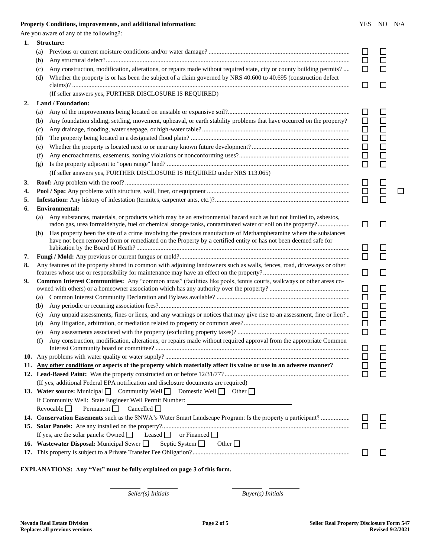## **Property Conditions, improvements, and additional information:** <br>
YES NO N/A

|    |            | Are you aware of any of the following?:                                                                                                                                                                                                                                                                                                                                                                |                  |                  |  |
|----|------------|--------------------------------------------------------------------------------------------------------------------------------------------------------------------------------------------------------------------------------------------------------------------------------------------------------------------------------------------------------------------------------------------------------|------------------|------------------|--|
| 1. |            | <b>Structure:</b>                                                                                                                                                                                                                                                                                                                                                                                      |                  |                  |  |
|    | (a)        |                                                                                                                                                                                                                                                                                                                                                                                                        | □                | $\mathsf{L}$     |  |
|    | (b)        |                                                                                                                                                                                                                                                                                                                                                                                                        | $\Box$           | П                |  |
|    | (c)        | Any construction, modification, alterations, or repairs made without required state, city or county building permits?                                                                                                                                                                                                                                                                                  | □                |                  |  |
|    | (d)        | Whether the property is or has been the subject of a claim governed by NRS 40.600 to 40.695 (construction defect                                                                                                                                                                                                                                                                                       | П                | $\Box$           |  |
|    |            | (If seller answers yes, FURTHER DISCLOSURE IS REQUIRED)                                                                                                                                                                                                                                                                                                                                                |                  |                  |  |
| 2. |            | Land / Foundation:                                                                                                                                                                                                                                                                                                                                                                                     |                  |                  |  |
|    | (a)        |                                                                                                                                                                                                                                                                                                                                                                                                        | $\Box$           | □                |  |
|    | (b)        | Any foundation sliding, settling, movement, upheaval, or earth stability problems that have occurred on the property?                                                                                                                                                                                                                                                                                  | $\Box$           | $\Box$           |  |
|    | (c)        |                                                                                                                                                                                                                                                                                                                                                                                                        | $\Box$           | $\Box$           |  |
|    | (d)        |                                                                                                                                                                                                                                                                                                                                                                                                        | $\Box$           | $\Box$           |  |
|    | (e)        |                                                                                                                                                                                                                                                                                                                                                                                                        | $\Box$           | $\Box$           |  |
|    | (f)        |                                                                                                                                                                                                                                                                                                                                                                                                        | $\Box$           | $\Box$           |  |
|    | (g)        |                                                                                                                                                                                                                                                                                                                                                                                                        | $\Box$           | $\Box$           |  |
|    |            | (If seller answers yes, FURTHER DISCLOSURE IS REQUIRED under NRS 113.065)                                                                                                                                                                                                                                                                                                                              |                  |                  |  |
| 3. |            |                                                                                                                                                                                                                                                                                                                                                                                                        | $\Box$           |                  |  |
| 4. |            |                                                                                                                                                                                                                                                                                                                                                                                                        | $\Box$           | $\Box$           |  |
| 5. |            |                                                                                                                                                                                                                                                                                                                                                                                                        |                  |                  |  |
| 6. |            | <b>Environmental:</b>                                                                                                                                                                                                                                                                                                                                                                                  |                  |                  |  |
|    | (a)        | Any substances, materials, or products which may be an environmental hazard such as but not limited to, asbestos,<br>radon gas, urea formaldehyde, fuel or chemical storage tanks, contaminated water or soil on the property?                                                                                                                                                                         | $\Box$           | $\Box$           |  |
|    | (b)        | Has property been the site of a crime involving the previous manufacture of Methamphetamine where the substances<br>have not been removed from or remediated on the Property by a certified entity or has not been deemed safe for                                                                                                                                                                     |                  |                  |  |
|    |            |                                                                                                                                                                                                                                                                                                                                                                                                        | $\Box$<br>$\Box$ |                  |  |
| 7. |            |                                                                                                                                                                                                                                                                                                                                                                                                        |                  |                  |  |
| 8. |            | Any features of the property shared in common with adjoining landowners such as walls, fences, road, driveways or other                                                                                                                                                                                                                                                                                | $\Box$           | $\Box$           |  |
| 9. |            | Common Interest Communities: Any "common areas" (facilities like pools, tennis courts, walkways or other areas co-                                                                                                                                                                                                                                                                                     | $\Box$           | $\Box$           |  |
|    |            |                                                                                                                                                                                                                                                                                                                                                                                                        | $\Box$           |                  |  |
|    | (a)        |                                                                                                                                                                                                                                                                                                                                                                                                        | $\Box$           | $\Box$           |  |
|    | (b)        |                                                                                                                                                                                                                                                                                                                                                                                                        | $\Box$           | $\Box$<br>$\Box$ |  |
|    | (c)        | Any unpaid assessments, fines or liens, and any warnings or notices that may give rise to an assessment, fine or lien?                                                                                                                                                                                                                                                                                 | $\Box$           |                  |  |
|    | (d)        |                                                                                                                                                                                                                                                                                                                                                                                                        |                  | $\Box$<br>$\Box$ |  |
|    | (e)<br>(f) | Any construction, modification, alterations, or repairs made without required approval from the appropriate Common                                                                                                                                                                                                                                                                                     |                  |                  |  |
|    |            |                                                                                                                                                                                                                                                                                                                                                                                                        | ⊔                | $\Box$           |  |
|    |            |                                                                                                                                                                                                                                                                                                                                                                                                        | □                |                  |  |
|    |            | 11. Any other conditions or aspects of the property which materially affect its value or use in an adverse manner?                                                                                                                                                                                                                                                                                     | □<br>□           | □                |  |
|    |            | (If yes, additional Federal EPA notification and disclosure documents are required)                                                                                                                                                                                                                                                                                                                    |                  |                  |  |
|    |            | 13. Water source: Municipal Community Well Domestic Well Cother                                                                                                                                                                                                                                                                                                                                        |                  |                  |  |
|    |            |                                                                                                                                                                                                                                                                                                                                                                                                        |                  |                  |  |
|    |            | If Community Well: State Engineer Well Permit Number:<br>Permanent $\Box$ Cancelled $\Box$<br>Revocable $\Box$                                                                                                                                                                                                                                                                                         |                  |                  |  |
|    |            | 14. Conservation Easements such as the SNWA's Water Smart Landscape Program: Is the property a participant?                                                                                                                                                                                                                                                                                            |                  |                  |  |
|    |            |                                                                                                                                                                                                                                                                                                                                                                                                        |                  |                  |  |
|    |            | If yes, are the solar panels: Owned $\Box$ Leased $\Box$ or Financed $\Box$                                                                                                                                                                                                                                                                                                                            |                  |                  |  |
|    |            | <b>16. Wastewater Disposal:</b> Municipal Sewer Septic System $\Box$                                                                                                                                                                                                                                                                                                                                   |                  |                  |  |
|    |            | Other $\Box$                                                                                                                                                                                                                                                                                                                                                                                           | $\Box$           | $\Box$           |  |
|    |            |                                                                                                                                                                                                                                                                                                                                                                                                        |                  |                  |  |
|    |            | $\mathbb{E} \mathbf{V} \mathbf{D} \mathbf{I}$ A $\mathbf{N} \mathbf{A} \mathbf{E} \mathbf{D} \mathbf{N} \mathbf{E}$ , $\mathbf{A} \mathbf{B} \mathbf{A} \mathbf{B} \mathbf{A} \mathbf{B} \mathbf{A}$ , $\mathbf{B} \mathbf{A} \mathbf{B} \mathbf{B} \mathbf{A} \mathbf{B} \mathbf{A} \mathbf{A} \mathbf{B} \mathbf{A}$ , $\mathbf{B} \mathbf{A} \mathbf{B} \mathbf{A} \mathbf{B} \mathbf{A} \mathbf{B$ |                  |                  |  |

**EXPLANATIONS: Any "Yes" must be fully explained on page 3 of this form.**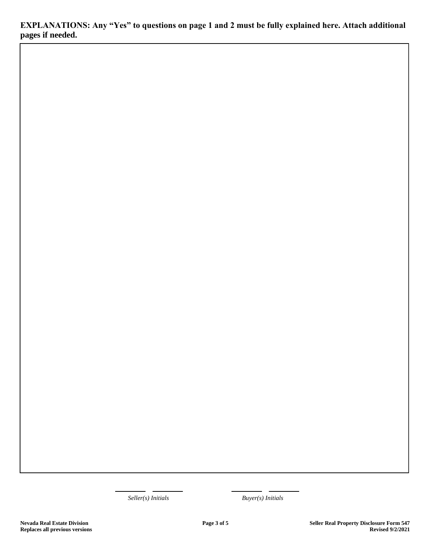**EXPLANATIONS: Any "Yes" to questions on page 1 and 2 must be fully explained here. Attach additional pages if needed.**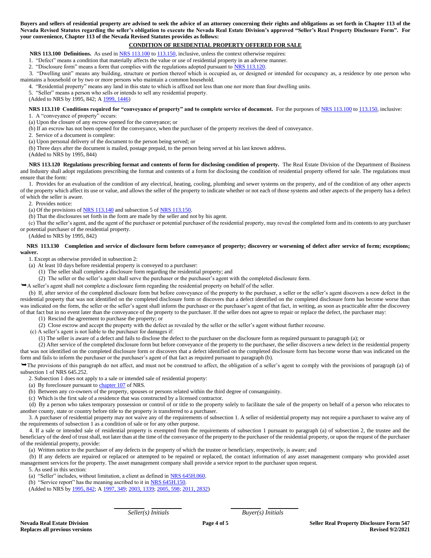**Buyers and sellers of residential property are advised to seek the advice of an attorney concerning their rights and obligations as set forth in Chapter 113 of the Nevada Revised Statutes regarding the seller's obligation to execute the Nevada Real Estate Division's approved "Seller's Real Property Disclosure Form". For your convenience, Chapter 113 of the Nevada Revised Statutes provides as follows:** 

# **CONDITION OF RESIDENTIAL PROPERTY OFFERED FOR SALE**

**NRS 113.100 Definitions.** As used in [NRS 113.100](http://www.leg.state.nv.us/NRS/NRS-113.html#NRS113Sec100) to [113.150,](http://www.leg.state.nv.us/NRS/NRS-113.html#NRS113Sec150) inclusive, unless the context otherwise requires:

1. "Defect" means a condition that materially affects the value or use of residential property in an adverse manner.

2. "Disclosure form" means a form that complies with the regulations adopted pursuant to [NRS 113.120.](http://www.leg.state.nv.us/NRS/NRS-113.html#NRS113Sec120) 

3. "Dwelling unit" means any building, structure or portion thereof which is occupied as, or designed or intended for occupancy as, a residence by one person who maintains a household or by two or more persons who maintain a common household.

4. "Residential property" means any land in this state to which is affixed not less than one nor more than four dwelling units.

5. "Seller" means a person who sells or intends to sell any residential property.

(Added to NRS by 1995, 842; A [1999, 1446\)](http://www.leg.state.nv.us/Statutes/70th/Stats199909.html#Stats199909page1446)

## **NRS 113.110 Conditions required for "conveyance of property" and to complete service of document.** For the purposes of [NRS 113.100](http://www.leg.state.nv.us/NRS/NRS-113.html#NRS113Sec100) to [113.150,](http://www.leg.state.nv.us/NRS/NRS-113.html#NRS113Sec150) inclusive:

1. A "conveyance of property" occurs:

(a) Upon the closure of any escrow opened for the conveyance; or

(b) If an escrow has not been opened for the conveyance, when the purchaser of the property receives the deed of conveyance.

2. Service of a document is complete:

(a) Upon personal delivery of the document to the person being served; or

(b) Three days after the document is mailed, postage prepaid, to the person being served at his last known address.

(Added to NRS by 1995, 844)

 **NRS 113.120 Regulations prescribing format and contents of form for disclosing condition of property.** The Real Estate Division of the Department of Business and Industry shall adopt regulations prescribing the format and contents of a form for disclosing the condition of residential property offered for sale. The regulations must ensure that the form:

1. Provides for an evaluation of the condition of any electrical, heating, cooling, plumbing and sewer systems on the property, and of the condition of any other aspects of the property which affect its use or value, and allows the seller of the property to indicate whether or not each of those systems and other aspects of the property has a defect of which the seller is aware.

2. Provides notice:

(a) Of the provisions of  $NRS$  113.140 and subsection 5 of  $NRS$  113.150.

(b) That the disclosures set forth in the form are made by the seller and not by his agent.

(c) That the seller's agent, and the agent of the purchaser or potential purchaser of the residential property, may reveal the completed form and its contents to any purchaser or potential purchaser of the residential property.

(Added to NRS by 1995, 842)

**NRS 113.130 Completion and service of disclosure form before conveyance of property; discovery or worsening of defect after service of form; exceptions; waiver.**

1. Except as otherwise provided in subsection 2:

- (a) At least 10 days before residential property is conveyed to a purchaser:
	- (1) The seller shall complete a disclosure form regarding the residential property; and

(2) The seller or the seller's agent shall serve the purchaser or the purchaser's agent with the completed disclosure form.

A seller's agent shall not complete a disclosure form regarding the residential property on behalf of the seller.

(b) If, after service of the completed disclosure form but before conveyance of the property to the purchaser, a seller or the seller's agent discovers a new defect in the residential property that was not identified on the completed disclosure form or discovers that a defect identified on the completed disclosure form has become worse than was indicated on the form, the seller or the seller's agent shall inform the purchaser or the purchaser's agent of that fact, in writing, as soon as practicable after the discovery of that fact but in no event later than the conveyance of the property to the purchaser. If the seller does not agree to repair or replace the defect, the purchaser may:

(1) Rescind the agreement to purchase the property; or

(2) Close escrow and accept the property with the defect as revealed by the seller or the seller's agent without further recourse.

(c) A seller's agent is not liable to the purchaser for damages if:

(1) The seller is aware of a defect and fails to disclose the defect to the purchaser on the disclosure form as required pursuant to paragraph (a); or

(2) After service of the completed disclosure form but before conveyance of the property to the purchaser, the seller discovers a new defect in the residential property that was not identified on the completed disclosure form or discovers that a defect identified on the completed disclosure form has become worse than was indicated on the form and fails to inform the purchaser or the purchaser's agent of that fact as required pursuant to paragraph (b).

The provisions of this paragraph do not affect, and must not be construed to affect, the obligation of a seller's agent to comply with the provisions of paragraph (a) of subsection 1 of NRS 645.252.

2. Subsection 1 does not apply to a sale or intended sale of residential property:

(a) By foreclosure pursuant to [chapter 107](http://www.leg.state.nv.us/NRS/NRS-107.html#NRS107) of NRS.

(b) Between any co-owners of the property, spouses or persons related within the third degree of consanguinity.

(c) Which is the first sale of a residence that was constructed by a licensed contractor.

(d) By a person who takes temporary possession or control of or title to the property solely to facilitate the sale of the property on behalf of a person who relocates to another county, state or country before title to the property is transferred to a purchaser.

 3. A purchaser of residential property may not waive any of the requirements of subsection 1. A seller of residential property may not require a purchaser to waive any of the requirements of subsection 1 as a condition of sale or for any other purpose.

4. If a sale or intended sale of residential property is exempted from the requirements of subsection 1 pursuant to paragraph (a) of subsection 2, the trustee and the beneficiary of the deed of trust shall, not later than at the time of the conveyance of the property to the purchaser of the residential property, or upon the request of the purchaser of the residential property, provide:

(a) Written notice to the purchaser of any defects in the property of which the trustee or beneficiary, respectively, is aware; and

(b) If any defects are repaired or replaced or attempted to be repaired or replaced, the contact information of any asset management company who provided asset management services for the property. The asset management company shall provide a service report to the purchaser upon request.

5. As used in this section:

(a) "Seller" includes, without limitation, a client as defined in [NRS 645H.060.](http://www.leg.state.nv.us/NRS/NRS-645H.html#NRS645HSec060)

(b) "Service report" has the meaning ascribed to it in [NRS 645H.150.](http://www.leg.state.nv.us/NRS/NRS-645H.html#NRS645HSec150) 

(Added to NRS by [1995, 842;](http://www.leg.state.nv.us/Statutes/68th/Stats199505.html#Stats199505page842) A [1997, 349;](http://www.leg.state.nv.us/Statutes/69th/Stats199703.html#Stats199703page349) [2003, 1339;](http://www.leg.state.nv.us/Statutes/72nd/Stats200310.html#Stats200310page1339) [2005, 598;](http://www.leg.state.nv.us/Statutes/73rd/Stats200507.html#Stats200507page598) [2011, 2832\)](http://www.leg.state.nv.us/Statutes/76th2011/Stats201123.html#Stats201123page2832)